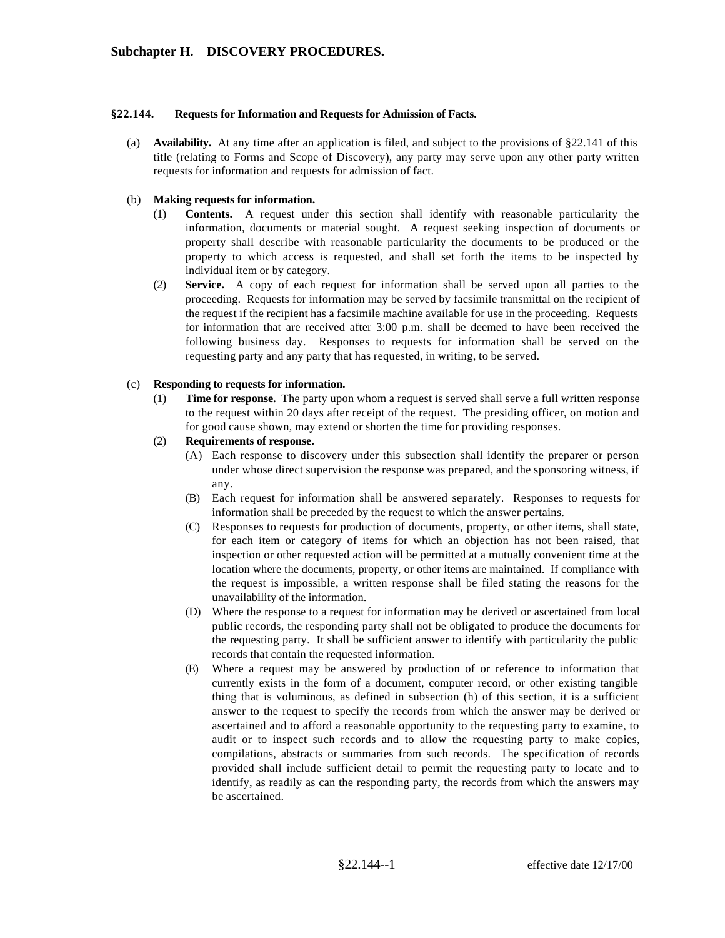### **§22.144. Requests for Information and Requests for Admission of Facts.**

(a) **Availability.** At any time after an application is filed, and subject to the provisions of §22.141 of this title (relating to Forms and Scope of Discovery), any party may serve upon any other party written requests for information and requests for admission of fact.

#### (b) **Making requests for information.**

- (1) **Contents.** A request under this section shall identify with reasonable particularity the information, documents or material sought. A request seeking inspection of documents or property shall describe with reasonable particularity the documents to be produced or the property to which access is requested, and shall set forth the items to be inspected by individual item or by category.
- (2) **Service.** A copy of each request for information shall be served upon all parties to the proceeding. Requests for information may be served by facsimile transmittal on the recipient of the request if the recipient has a facsimile machine available for use in the proceeding. Requests for information that are received after 3:00 p.m. shall be deemed to have been received the following business day. Responses to requests for information shall be served on the requesting party and any party that has requested, in writing, to be served.

#### (c) **Responding to requests for information.**

- (1) **Time for response.** The party upon whom a request is served shall serve a full written response to the request within 20 days after receipt of the request. The presiding officer, on motion and for good cause shown, may extend or shorten the time for providing responses.
- (2) **Requirements of response.**
	- (A) Each response to discovery under this subsection shall identify the preparer or person under whose direct supervision the response was prepared, and the sponsoring witness, if any.
	- (B) Each request for information shall be answered separately. Responses to requests for information shall be preceded by the request to which the answer pertains.
	- (C) Responses to requests for production of documents, property, or other items, shall state, for each item or category of items for which an objection has not been raised, that inspection or other requested action will be permitted at a mutually convenient time at the location where the documents, property, or other items are maintained. If compliance with the request is impossible, a written response shall be filed stating the reasons for the unavailability of the information.
	- (D) Where the response to a request for information may be derived or ascertained from local public records, the responding party shall not be obligated to produce the documents for the requesting party. It shall be sufficient answer to identify with particularity the public records that contain the requested information.
	- (E) Where a request may be answered by production of or reference to information that currently exists in the form of a document, computer record, or other existing tangible thing that is voluminous, as defined in subsection (h) of this section, it is a sufficient answer to the request to specify the records from which the answer may be derived or ascertained and to afford a reasonable opportunity to the requesting party to examine, to audit or to inspect such records and to allow the requesting party to make copies, compilations, abstracts or summaries from such records. The specification of records provided shall include sufficient detail to permit the requesting party to locate and to identify, as readily as can the responding party, the records from which the answers may be ascertained.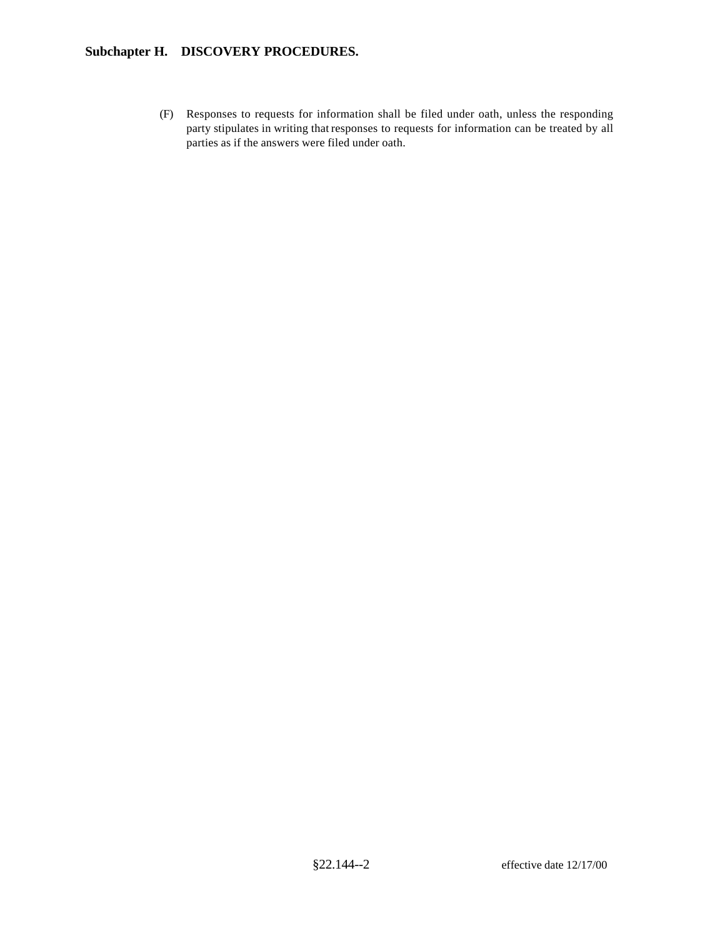# **Subchapter H. DISCOVERY PROCEDURES.**

(F) Responses to requests for information shall be filed under oath, unless the responding party stipulates in writing that responses to requests for information can be treated by all parties as if the answers were filed under oath.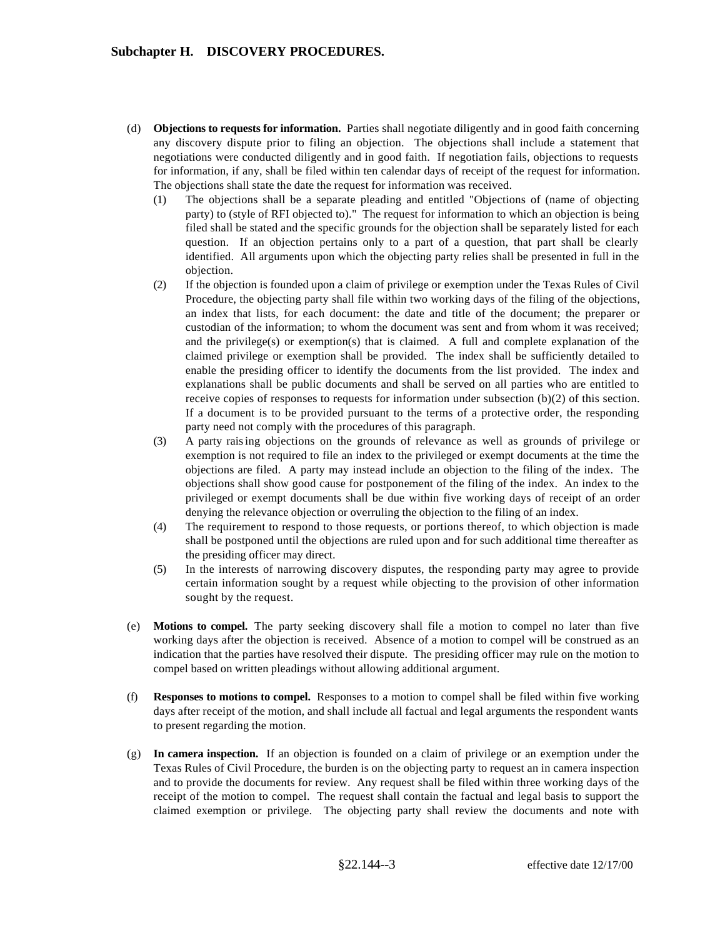- (d) **Objections to requests for information.** Parties shall negotiate diligently and in good faith concerning any discovery dispute prior to filing an objection. The objections shall include a statement that negotiations were conducted diligently and in good faith. If negotiation fails, objections to requests for information, if any, shall be filed within ten calendar days of receipt of the request for information. The objections shall state the date the request for information was received.
	- (1) The objections shall be a separate pleading and entitled "Objections of (name of objecting party) to (style of RFI objected to)." The request for information to which an objection is being filed shall be stated and the specific grounds for the objection shall be separately listed for each question. If an objection pertains only to a part of a question, that part shall be clearly identified. All arguments upon which the objecting party relies shall be presented in full in the objection.
	- (2) If the objection is founded upon a claim of privilege or exemption under the Texas Rules of Civil Procedure, the objecting party shall file within two working days of the filing of the objections, an index that lists, for each document: the date and title of the document; the preparer or custodian of the information; to whom the document was sent and from whom it was received; and the privilege(s) or exemption(s) that is claimed. A full and complete explanation of the claimed privilege or exemption shall be provided. The index shall be sufficiently detailed to enable the presiding officer to identify the documents from the list provided. The index and explanations shall be public documents and shall be served on all parties who are entitled to receive copies of responses to requests for information under subsection (b)(2) of this section. If a document is to be provided pursuant to the terms of a protective order, the responding party need not comply with the procedures of this paragraph.
	- (3) A party raising objections on the grounds of relevance as well as grounds of privilege or exemption is not required to file an index to the privileged or exempt documents at the time the objections are filed. A party may instead include an objection to the filing of the index. The objections shall show good cause for postponement of the filing of the index. An index to the privileged or exempt documents shall be due within five working days of receipt of an order denying the relevance objection or overruling the objection to the filing of an index.
	- (4) The requirement to respond to those requests, or portions thereof, to which objection is made shall be postponed until the objections are ruled upon and for such additional time thereafter as the presiding officer may direct.
	- (5) In the interests of narrowing discovery disputes, the responding party may agree to provide certain information sought by a request while objecting to the provision of other information sought by the request.
- (e) **Motions to compel.** The party seeking discovery shall file a motion to compel no later than five working days after the objection is received. Absence of a motion to compel will be construed as an indication that the parties have resolved their dispute. The presiding officer may rule on the motion to compel based on written pleadings without allowing additional argument.
- (f) **Responses to motions to compel.** Responses to a motion to compel shall be filed within five working days after receipt of the motion, and shall include all factual and legal arguments the respondent wants to present regarding the motion.
- (g) **In camera inspection.** If an objection is founded on a claim of privilege or an exemption under the Texas Rules of Civil Procedure, the burden is on the objecting party to request an in camera inspection and to provide the documents for review. Any request shall be filed within three working days of the receipt of the motion to compel. The request shall contain the factual and legal basis to support the claimed exemption or privilege. The objecting party shall review the documents and note with